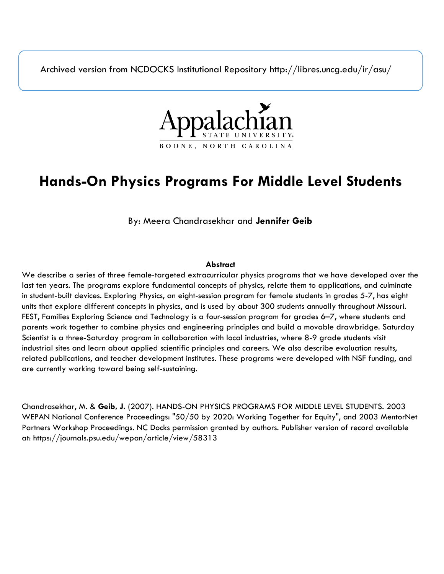Archived version from NCDOCKS Institutional Repository http://libres.uncg.edu/ir/asu/



# **Hands-On Physics Programs For Middle Level Students**

By: Meera Chandrasekhar and **Jennifer Geib**

# **Abstract**

We describe a series of three female-targeted extracurricular physics programs that we have developed over the last ten years. The programs explore fundamental concepts of physics, relate them to applications, and culminate in student-built devices. Exploring Physics, an eight-session program for female students in grades 5-7, has eight units that explore different concepts in physics, and is used by about 300 students annually throughout Missouri. FEST, Families Exploring Science and Technology is a four-session program for grades 6–7, where students and parents work together to combine physics and engineering principles and build a movable drawbridge. Saturday Scientist is a three-Saturday program in collaboration with local industries, where 8-9 grade students visit industrial sites and learn about applied scientific principles and careers. We also describe evaluation results, related publications, and teacher development institutes. These programs were developed with NSF funding, and are currently working toward being self-sustaining.

Chandrasekhar, M. & **Geib, J.** (2007). HANDS-ON PHYSICS PROGRAMS FOR MIDDLE LEVEL STUDENTS. 2003 WEPAN National Conference Proceedings: "50/50 by 2020: Working Together for Equity", and 2003 MentorNet Partners Workshop Proceedings. NC Docks permission granted by authors. Publisher version of record available at: https://journals.psu.edu/wepan/article/view/58313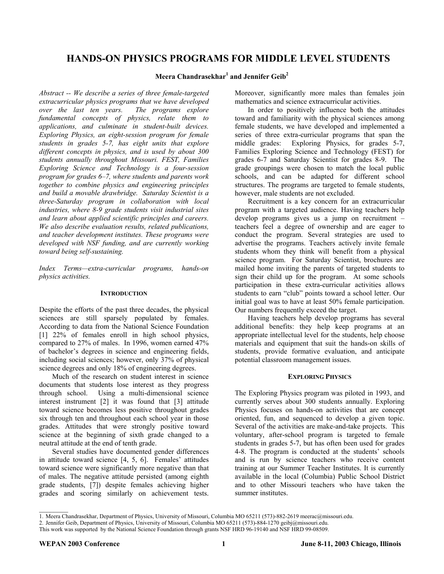# **HANDS-ON PHYSICS PROGRAMS FOR MIDDLE LEVEL STUDENTS**

# $M$ eera Chandrasekhar $^1$  and Jennifer Geib $^2$

*Abstract -- We describe a series of three female-targeted extracurricular physics programs that we have developed over the last ten years. The programs explore fundamental concepts of physics, relate them to applications, and culminate in student-built devices. Exploring Physics, an eight-session program for female students in grades 5-7, has eight units that explore different concepts in physics, and is used by about 300 students annually throughout Missouri. FEST, Families Exploring Science and Technology is a four-session program for grades 6–7, where students and parents work together to combine physics and engineering principles and build a movable drawbridge. Saturday Scientist is a three-Saturday program in collaboration with local industries, where 8-9 grade students visit industrial sites and learn about applied scientific principles and careers. We also describe evaluation results, related publications, and teacher development institutes. These programs were developed with NSF funding, and are currently working toward being self-sustaining.* 

*Index Terms—extra-curricular programs, hands-on physics activities.* 

# **INTRODUCTION**

Despite the efforts of the past three decades, the physical sciences are still sparsely populated by females. According to data from the National Science Foundation [\[1\]](#page-6-0) 22% of females enroll in high school physics, compared to 27% of males. In 1996, women earned 47% of bachelor's degrees in science and engineering fields, including social sciences; however, only 37% of physical science degrees and only 18% of engineering degrees.

Much of the research on student interest in science documents that students lose interest as they progress through school. Using a multi-dimensional science interest instrument [[2\]](#page-6-1) it was found that [\[3\]](#page-6-1) attitude toward science becomes less positive throughout grades six through ten and throughout each school year in those grades. Attitudes that were strongly positive toward science at the beginning of sixth grade changed to a neutral attitude at the end of tenth grade.

Several studies have documented gender differences in attitude toward science [[4,](#page-6-2) [5,](#page-6-2) [6\]](#page-6-2). Females' attitudes toward science were significantly more negative than that of males. The negative attitude persisted (among eighth grade students, [[7\]](#page-6-3)) despite females achieving higher grades and scoring similarly on achievement tests.

Moreover, significantly more males than females join mathematics and science extracurricular activities.

In order to positively influence both the attitudes toward and familiarity with the physical sciences among female students, we have developed and implemented a series of three extra-curricular programs that span the middle grades: Exploring Physics, for grades 5-7, Families Exploring Science and Technology (FEST) for grades 6-7 and Saturday Scientist for grades 8-9. The grade groupings were chosen to match the local public schools, and can be adapted for different school structures. The programs are targeted to female students, however, male students are not excluded.

Recruitment is a key concern for an extracurricular program with a targeted audience. Having teachers help develop programs gives us a jump on recruitment – teachers feel a degree of ownership and are eager to conduct the program. Several strategies are used to advertise the programs. Teachers actively invite female students whom they think will benefit from a physical science program. For Saturday Scientist, brochures are mailed home inviting the parents of targeted students to sign their child up for the program. At some schools participation in these extra-curricular activities allows students to earn "club" points toward a school letter. Our initial goal was to have at least 50% female participation. Our numbers frequently exceed the target.

Having teachers help develop programs has several additional benefits: they help keep programs at an appropriate intellectual level for the students, help choose materials and equipment that suit the hands-on skills of students, provide formative evaluation, and anticipate potential classroom management issues.

# **EXPLORING PHYSICS**

The Exploring Physics program was piloted in 1993, and currently serves about 300 students annually. Exploring Physics focuses on hands-on activities that are concept oriented, fun, and sequenced to develop a given topic. Several of the activities are make-and-take projects. This voluntary, after-school program is targeted to female students in grades 5-7, but has often been used for grades 4-8. The program is conducted at the students' schools and is run by science teachers who receive content training at our Summer Teacher Institutes. It is currently available in the local (Columbia) Public School District and to other Missouri teachers who have taken the summer institutes.

<sup>1.</sup> Meera Chandrasekhar, Department of Physics, University of Missouri, Columbia MO 65211 (573)-882-2619 meerac@missouri.edu.

<sup>2.</sup> Jennifer Geib, Department of Physics, University of Missouri, Columbia MO 65211 (573)-884-1270 geibj@missouri.edu.

This work was supported by the National Science Foundation through grants NSF HRD 96-19140 and NSF HRD 99-08509.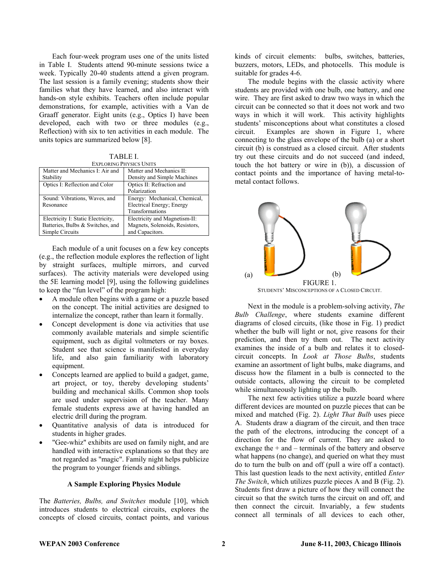Each four-week program uses one of the units listed in Table I. Students attend 90-minute sessions twice a week. Typically 20-40 students attend a given program. The last session is a family evening; students show their families what they have learned, and also interact with hands-on style exhibits. Teachers often include popular demonstrations, for example, activities with a Van de Graaff generator. Eight units (e.g., Optics I) have been developed, each with two or three modules (e.g., Reflection) with six to ten activities in each module. The units topics are summarized below [[8\]](#page-6-4).

<span id="page-2-1"></span>TABLE I. EXPLORING PHYSICS

| EAPLURING FHT SIUS UNITS           |                                |
|------------------------------------|--------------------------------|
| Matter and Mechanics I: Air and    | Matter and Mechanics II:       |
| Stability                          | Density and Simple Machines    |
| Optics I: Reflection and Color     | Optics II: Refraction and      |
|                                    | Polarization                   |
| Sound: Vibrations, Waves, and      | Energy: Mechanical, Chemical,  |
| Resonance                          | Electrical Energy; Energy      |
|                                    | Transformations                |
| Electricity I: Static Electricity, | Electricity and Magnetism-II:  |
| Batteries, Bulbs & Switches, and   | Magnets, Solenoids, Resistors, |
| Simple Circuits                    | and Capacitors.                |

Each module of a unit focuses on a few key concepts (e.g., the reflection module explores the reflection of light by straight surfaces, multiple mirrors, and curved surfaces). The activity materials were developed using the 5E learning model [[9\]](#page-6-5), using the following guidelines to keep the "fun level" of the program high:

- A module often begins with a game or a puzzle based on the concept. The initial activities are designed to internalize the concept, rather than learn it formally.
- Concept development is done via activities that use commonly available materials and simple scientific equipment, such as digital voltmeters or ray boxes. Student see that science is manifested in everyday life, and also gain familiarity with laboratory equipment.
- Concepts learned are applied to build a gadget, game, art project, or toy, thereby developing students' building and mechanical skills. Common shop tools are used under supervision of the teacher. Many female students express awe at having handled an electric drill during the program.
- Quantitative analysis of data is introduced for students in higher grades.
- "Gee-whiz" exhibits are used on family night, and are handled with interactive explanations so that they are not regarded as "magic". Family night helps publicize the program to younger friends and siblings.

#### <span id="page-2-0"></span>**A Sample Exploring Physics Module**

The *Batteries, Bulbs, and Switches* module [[10\]](#page-6-6), which introduces students to electrical circuits, explores the concepts of closed circuits, contact points, and various kinds of circuit elements: bulbs, switches, batteries, buzzers, motors, LEDs, and photocells. This module is suitable for grades 4-6.

The module begins with the classic activity where students are provided with one bulb, one battery, and one wire. They are first asked to draw two ways in which the circuit can be connected so that it does not work and two ways in which it will work. This activity highlights students' misconceptions about what constitutes a closed circuit. Examples are shown in Figure 1, where connecting to the glass envelope of the bulb (a) or a short circuit (b) is construed as a closed circuit. After students try out these circuits and do not succeed (and indeed, touch the hot battery or wire in (b)), a discussion of contact points and the importance of having metal-tometal contact follows.



Next in the module is a problem-solving activity, *The Bulb Challenge*, where students examine different diagrams of closed circuits, (like those in Fig. 1) predict whether the bulb will light or not, give reasons for their prediction, and then try them out. The next activity examines the inside of a bulb and relates it to closedcircuit concepts. In *Look at Those Bulbs*, students examine an assortment of light bulbs, make diagrams, and discuss how the filament in a bulb is connected to the outside contacts, allowing the circuit to be completed while simultaneously lighting up the bulb.

The next few activities utilize a puzzle board where different devices are mounted on puzzle pieces that can be mixed and matched (Fig. 2). *Light That Bulb* uses piece A. Students draw a diagram of the circuit, and then trace the path of the electrons, introducing the concept of a direction for the flow of current. They are asked to exchange the  $+$  and  $-$  terminals of the battery and observe what happens (no change), and queried on what they must do to turn the bulb on and off (pull a wire off a contact). This last question leads to the next activity, entitled *Enter The Switch*, which utilizes puzzle pieces A and B (Fig. 2). Students first draw a picture of how they will connect the circuit so that the switch turns the circuit on and off, and then connect the circuit. Invariably, a few students connect all terminals of all devices to each other,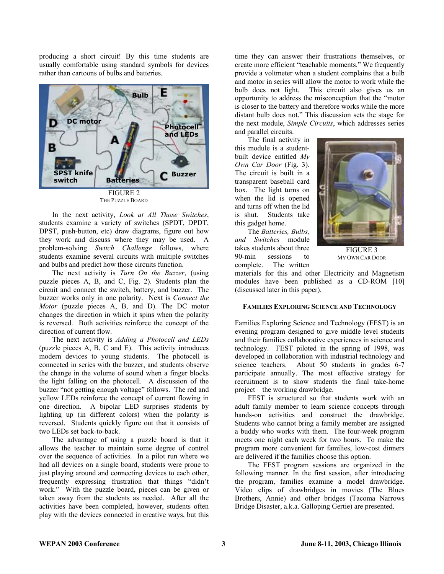producing a short circuit! By this time students are usually comfortable using standard symbols for devices rather than cartoons of bulbs and batteries.



THE PUZZLE BOARD

In the next activity, *Look at All Those Switches*, students examine a variety of switches (SPDT, DPDT, DPST, push-button, etc) draw diagrams, figure out how they work and discuss where they may be used. A problem-solving *Switch Challenge* follows, where students examine several circuits with multiple switches and bulbs and predict how those circuits function.

The next activity is *Turn On the Buzzer*, (using puzzle pieces A, B, and C, Fig. 2). Students plan the circuit and connect the switch, battery, and buzzer. The buzzer works only in one polarity. Next is *Connect the Motor* (puzzle pieces A, B, and D). The DC motor changes the direction in which it spins when the polarity is reversed. Both activities reinforce the concept of the direction of current flow.

The next activity is *Adding a Photocell and LEDs* (puzzle pieces A, B, C and E). This activity introduces modern devices to young students. The photocell is connected in series with the buzzer, and students observe the change in the volume of sound when a finger blocks the light falling on the photocell. A discussion of the buzzer "not getting enough voltage" follows. The red and yellow LEDs reinforce the concept of current flowing in one direction. A bipolar LED surprises students by lighting up (in different colors) when the polarity is reversed. Students quickly figure out that it consists of two LEDs set back-to-back.

The advantage of using a puzzle board is that it allows the teacher to maintain some degree of control over the sequence of activities. In a pilot run where we had all devices on a single board, students were prone to just playing around and connecting devices to each other, frequently expressing frustration that things "didn't work." With the puzzle board, pieces can be given or taken away from the students as needed. After all the activities have been completed, however, students often play with the devices connected in creative ways, but this

time they can answer their frustrations themselves, or create more efficient "teachable moments." We frequently provide a voltmeter when a student complains that a bulb and motor in series will allow the motor to work while the bulb does not light. This circuit also gives us an opportunity to address the misconception that the "motor is closer to the battery and therefore works while the more distant bulb does not." This discussion sets the stage for the next module, *Simple Circuits*, which addresses series and parallel circuits.

The final activity in this module is a studentbuilt device entitled *My Own Car Door* (Fig. 3). The circuit is built in a transparent baseball card box. The light turns on when the lid is opened and turns off when the lid is shut. Students take this gadget home.



The *Batteries, Bulbs, and Switches* module takes students about three 90-min sessions to complete. The written

FIGURE 3 MY OWN CAR DOOR

materials for this and other Electricity and Magnetism modules have been published as a CD-ROM [[10\]](#page-2-0) (discussed later in this paper).

# **FAMILIES EXPLORING SCIENCE AND TECHNOLOGY**

Families Exploring Science and Technology (FEST) is an evening program designed to give middle level students and their families collaborative experiences in science and technology. FEST piloted in the spring of 1998, was developed in collaboration with industrial technology and science teachers. About 50 students in grades 6-7 participate annually. The most effective strategy for recruitment is to show students the final take-home project – the working drawbridge.

FEST is structured so that students work with an adult family member to learn science concepts through hands-on activities and construct the drawbridge. Students who cannot bring a family member are assigned a buddy who works with them. The four-week program meets one night each week for two hours. To make the program more convenient for families, low-cost dinners are delivered if the families choose this option.

The FEST program sessions are organized in the following manner. In the first session, after introducing the program, families examine a model drawbridge. Video clips of drawbridges in movies (The Blues Brothers, Annie) and other bridges (Tacoma Narrows Bridge Disaster, a.k.a. Galloping Gertie) are presented.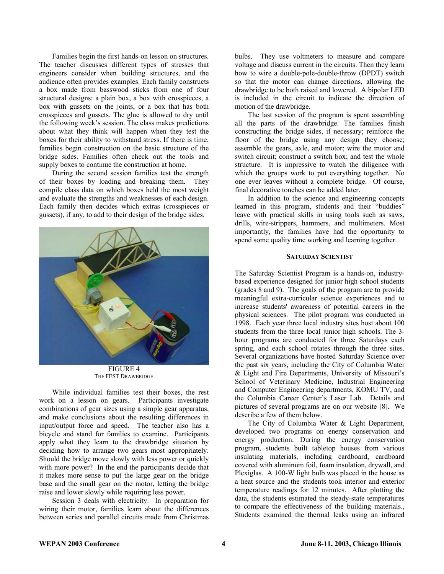Families begin the first hands-on lesson on structures. The teacher discusses different types of stresses that engineers consider when building structures, and the audience often provides examples. Each family constructs a box made from basswood sticks from one of four structural designs: a plain box, a box with crosspieces, a box with gussets on the joints, or a box that has both crosspieces and gussets. The glue is allowed to dry until the following week's session. The class makes predictions about what they think will happen when they test the boxes for their ability to withstand stress. If there is time, families begin construction on the basic structure of the bridge sides. Families often check out the tools and supply boxes to continue the construction at home.

During the second session families test the strength of their boxes by loading and breaking them. They compile class data on which boxes held the most weight and evaluate the strengths and weaknesses of each design. Each family then decides which extras (crosspieces or gussets), if any, to add to their design of the bridge sides.



FIGURE 4 THE FEST DRAWBRIDGE

While individual families test their boxes, the rest work on a lesson on gears. Participants investigate combinations of gear sizes using a simple gear apparatus, and make conclusions about the resulting differences in input/output force and speed. The teacher also has a bicycle and stand for families to examine. Participants apply what they learn to the drawbridge situation by deciding how to arrange two gears most appropriately. Should the bridge move slowly with less power or quickly with more power? In the end the participants decide that it makes more sense to put the large gear on the bridge base and the small gear on the motor, letting the bridge raise and lower slowly while requiring less power.

Session 3 deals with electricity. In preparation for wiring their motor, families learn about the differences between series and parallel circuits made from Christmas bulbs. They use voltmeters to measure and compare voltage and discuss current in the circuits. Then they learn how to wire a double-pole-double-throw (DPDT) switch so that the motor can change directions, allowing the drawbridge to be both raised and lowered. A bipolar LED is included in the circuit to indicate the direction of motion of the drawbridge.

The last session of the program is spent assembling all the parts of the drawbridge. The families finish constructing the bridge sides, if necessary; reinforce the floor of the bridge using any design they choose; assemble the gears, axle, and motor; wire the motor and switch circuit; construct a switch box; and test the whole structure. It is impressive to watch the diligence with which the groups work to put everything together. No one ever leaves without a complete bridge. Of course, final decorative touches can be added later.

In addition to the science and engineering concepts learned in this program, students and their "buddies" leave with practical skills in using tools such as saws, drills, wire-strippers, hammers, and multimeters. Most importantly, the families have had the opportunity to spend some quality time working and learning together.

#### **SATURDAY SCIENTIST**

The Saturday Scientist Program is a hands-on, industrybased experience designed for junior high school students (grades 8 and 9). The goals of the program are to provide meaningful extra-curricular science experiences and to increase students' awareness of potential careers in the physical sciences. The pilot program was conducted in 1998. Each year three local industry sites host about 100 students from the three local junior high schools. The 3 hour programs are conducted for three Saturdays each spring, and each school rotates through the three sites. Several organizations have hosted Saturday Science over the past six years, including the City of Columbia Water & Light and Fire Departments, University of Missouri's School of Veterinary Medicine, Industrial Engineering and Computer Engineering departments, KOMU TV, and the Columbia Career Center's Laser Lab. Details and pictures of several programs are on our website [[8\]](#page-2-1). We describe a few of them below.

The City of Columbia Water & Light Department, developed two programs on energy conservation and energy production. During the energy conservation program, students built tabletop houses from various insulating materials, including cardboard, cardboard covered with aluminum foil, foam insulation, drywall, and Plexiglas. A 100-W light bulb was placed in the house as a heat source and the students took interior and exterior temperature readings for 12 minutes. After plotting the data, the students estimated the steady-state temperatures to compare the effectiveness of the building materials., Students examined the thermal leaks using an infrared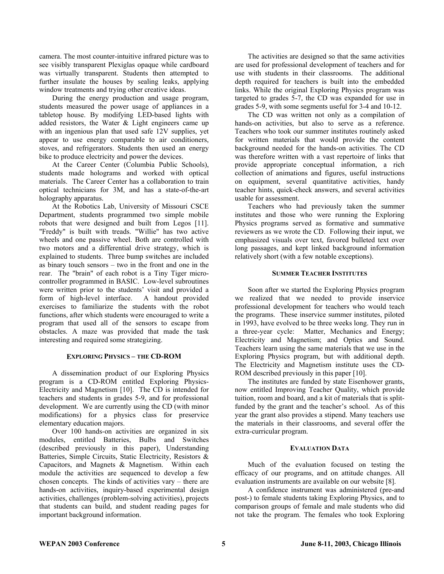camera. The most counter-intuitive infrared picture was to see visibly transparent Plexiglas opaque while cardboard was virtually transparent. Students then attempted to further insulate the houses by sealing leaks, applying window treatments and trying other creative ideas.

During the energy production and usage program, students measured the power usage of appliances in a tabletop house. By modifying LED-based lights with added resistors, the Water & Light engineers came up with an ingenious plan that used safe 12V supplies, yet appear to use energy comparable to air conditioners, stoves, and refrigerators. Students then used an energy bike to produce electricity and power the devices.

At the Career Center (Columbia Public Schools), students made holograms and worked with optical materials. The Career Center has a collaboration to train optical technicians for 3M, and has a state-of-the-art holography apparatus.

At the Robotics Lab, University of Missouri CSCE Department, students programmed two simple mobile robots that were designed and built from Legos [\[11\]](#page-6-7). "Freddy" is built with treads. "Willie" has two active wheels and one passive wheel. Both are controlled with two motors and a differential drive strategy, which is explained to students. Three bump switches are included as binary touch sensors – two in the front and one in the rear. The "brain" of each robot is a Tiny Tiger microcontroller programmed in BASIC. Low-level subroutines were written prior to the students' visit and provided a form of high-level interface. A handout provided exercises to familiarize the students with the robot functions, after which students were encouraged to write a program that used all of the sensors to escape from obstacles. A maze was provided that made the task interesting and required some strategizing.

# **EXPLORING PHYSICS – THE CD-ROM**

A dissemination product of our Exploring Physics program is a CD-ROM entitled Exploring Physics-Electricity and Magnetism [[10\]](#page-2-0). The CD is intended for teachers and students in grades 5-9, and for professional development. We are currently using the CD (with minor modifications) for a physics class for preservice elementary education majors.

Over 100 hands-on activities are organized in six modules, entitled Batteries, Bulbs and Switches (described previously in this paper), Understanding Batteries, Simple Circuits, Static Electricity, Resistors & Capacitors, and Magnets & Magnetism. Within each module the activities are sequenced to develop a few chosen concepts. The kinds of activities vary – there are hands-on activities, inquiry-based experimental design activities, challenges (problem-solving activities), projects that students can build, and student reading pages for important background information.

The activities are designed so that the same activities are used for professional development of teachers and for use with students in their classrooms. The additional depth required for teachers is built into the embedded links. While the original Exploring Physics program was targeted to grades 5-7, the CD was expanded for use in grades 5-9, with some segments useful for 3-4 and 10-12.

The CD was written not only as a compilation of hands-on activities, but also to serve as a reference. Teachers who took our summer institutes routinely asked for written materials that would provide the content background needed for the hands-on activities. The CD was therefore written with a vast repertoire of links that provide appropriate conceptual information, a rich collection of animations and figures, useful instructions on equipment, several quantitative activities, handy teacher hints, quick-check answers, and several activities usable for assessment.

Teachers who had previously taken the summer institutes and those who were running the Exploring Physics programs served as formative and summative reviewers as we wrote the CD. Following their input, we emphasized visuals over text, favored bulleted text over long passages, and kept linked background information relatively short (with a few notable exceptions).

#### **SUMMER TEACHER INSTITUTES**

Soon after we started the Exploring Physics program we realized that we needed to provide inservice professional development for teachers who would teach the programs. These inservice summer institutes, piloted in 1993, have evolved to be three weeks long. They run in a three-year cycle: Matter, Mechanics and Energy; Electricity and Magnetism; and Optics and Sound. Teachers learn using the same materials that we use in the Exploring Physics program, but with additional depth. The Electricity and Magnetism institute uses the CD-ROM described previously in this paper [\[10\]](#page-2-0).

The institutes are funded by state Eisenhower grants, now entitled Improving Teacher Quality, which provide tuition, room and board, and a kit of materials that is splitfunded by the grant and the teacher's school. As of this year the grant also provides a stipend. Many teachers use the materials in their classrooms, and several offer the extra-curricular program.

#### **EVALUATION DATA**

Much of the evaluation focused on testing the efficacy of our programs, and on attitude changes. All evaluation instruments are available on our website [[8\]](#page-2-1).

A confidence instrument was administered (pre-and post-) to female students taking Exploring Physics, and to comparison groups of female and male students who did not take the program. The females who took Exploring